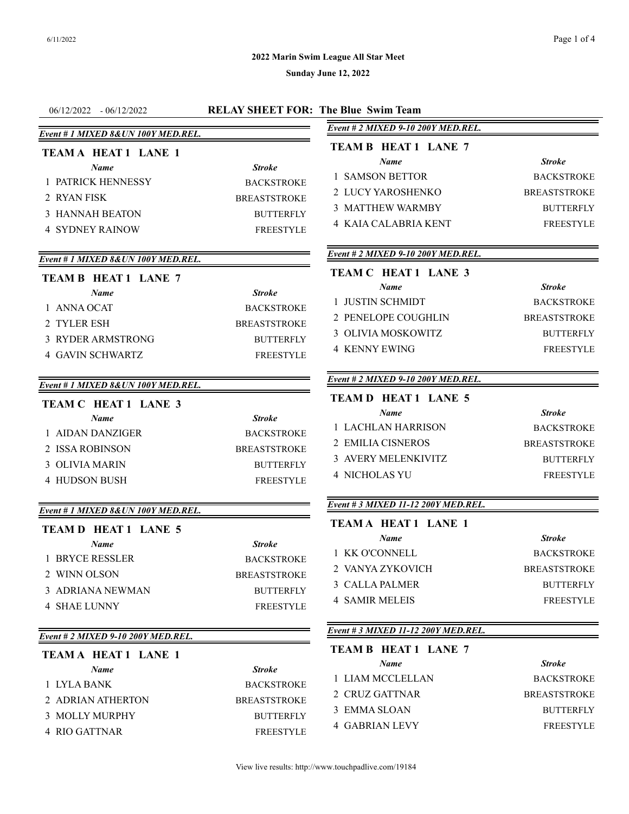| 06/12/2022 - 06/12/2022                                                                                                                                                                                                                  | <b>RELAY SHEET FOR: The Blue Swim Team</b>                                                                         |                                                                                                                                                                                                                           |                                                                                                                    |
|------------------------------------------------------------------------------------------------------------------------------------------------------------------------------------------------------------------------------------------|--------------------------------------------------------------------------------------------------------------------|---------------------------------------------------------------------------------------------------------------------------------------------------------------------------------------------------------------------------|--------------------------------------------------------------------------------------------------------------------|
|                                                                                                                                                                                                                                          |                                                                                                                    | Event # 2 MIXED 9-10 200Y MED.REL.                                                                                                                                                                                        |                                                                                                                    |
| Event # 1 MIXED 8& UN 100Y MED.REL.<br><b>TEAMA HEAT 1 LANE 1</b><br>Name<br>1 PATRICK HENNESSY<br>2 RYAN FISK<br><b>3 HANNAH BEATON</b><br><b>4 SYDNEY RAINOW</b><br>Event # 1 MIXED 8& UN 100Y MED.REL.<br><b>TEAM B HEAT 1 LANE 7</b> | <b>Stroke</b><br><b>BACKSTROKE</b><br><b>BREASTSTROKE</b><br><b>BUTTERFLY</b><br><b>FREESTYLE</b>                  | <b>TEAM B HEAT 1 LANE 7</b><br><b>Name</b><br>1 SAMSON BETTOR<br>2 LUCY YAROSHENKO<br>3 MATTHEW WARMBY<br><b>4 KAIA CALABRIA KENT</b><br>Event # 2 MIXED 9-10 200Y MED.REL.<br><b>TEAM C HEAT 1 LANE 3</b>                | <b>Stroke</b><br><b>BACKSTROKE</b><br><b>BREASTSTROKE</b><br><b>BUTTERFLY</b><br><b>FREESTYLE</b>                  |
| Name<br>1 ANNA OCAT<br>2 TYLER ESH<br><b>3 RYDER ARMSTRONG</b><br><b>4 GAVIN SCHWARTZ</b>                                                                                                                                                | <b>Stroke</b><br><b>BACKSTROKE</b><br><b>BREASTSTROKE</b><br><b>BUTTERFLY</b><br><b>FREESTYLE</b>                  | <b>Name</b><br>1 JUSTIN SCHMIDT<br>2 PENELOPE COUGHLIN<br>3 OLIVIA MOSKOWITZ<br><b>4 KENNY EWING</b>                                                                                                                      | <b>Stroke</b><br><b>BACKSTROKE</b><br><b>BREASTSTROKE</b><br><b>BUTTERFLY</b><br><b>FREESTYLE</b>                  |
| Event # 1 MIXED 8& UN 100Y MED.REL.                                                                                                                                                                                                      |                                                                                                                    | Event # 2 MIXED 9-10 200Y MED.REL.                                                                                                                                                                                        |                                                                                                                    |
| <b>TEAM C HEAT 1 LANE 3</b><br>Name<br>1 AIDAN DANZIGER<br>2 ISSA ROBINSON<br>3 OLIVIA MARIN<br><b>4 HUDSON BUSH</b><br>Event # 1 MIXED 8& UN 100Y MED.REL.<br><b>TEAM D HEAT 1 LANE 5</b><br>Name                                       | <b>Stroke</b><br><b>BACKSTROKE</b><br><b>BREASTSTROKE</b><br><b>BUTTERFLY</b><br><b>FREESTYLE</b><br><b>Stroke</b> | <b>TEAM D HEAT 1 LANE 5</b><br><b>Name</b><br>1 LACHLAN HARRISON<br>2 EMILIA CISNEROS<br>3 AVERY MELENKIVITZ<br><b>4 NICHOLAS YU</b><br>Event # 3 MIXED 11-12 200Y MED.REL.<br><b>TEAM A HEAT 1 LANE 1</b><br><b>Name</b> | <b>Stroke</b><br><b>BACKSTROKE</b><br><b>BREASTSTROKE</b><br><b>BUTTERFLY</b><br><b>FREESTYLE</b><br><b>Stroke</b> |
| 1 BRYCE RESSLER<br>2 WINN OLSON<br>3 ADRIANA NEWMAN<br><b>4 SHAE LUNNY</b>                                                                                                                                                               | <b>BACKSTROKE</b><br><b>BREASTSTROKE</b><br><b>BUTTERFLY</b><br><b>FREESTYLE</b>                                   | 1 KK O'CONNELL<br>2 VANYA ZYKOVICH<br>3 CALLA PALMER<br><b>4 SAMIR MELEIS</b><br>Event # 3 MIXED 11-12 200Y MED.REL.                                                                                                      | <b>BACKSTROKE</b><br><b>BREASTSTROKE</b><br><b>BUTTERFLY</b><br><b>FREESTYLE</b>                                   |
| Event # 2 MIXED 9-10 200Y MED.REL.<br><b>TEAMA HEAT1 LANE 1</b>                                                                                                                                                                          |                                                                                                                    | <b>TEAM B HEAT 1 LANE 7</b>                                                                                                                                                                                               |                                                                                                                    |
| Name<br>1 LYLA BANK<br>2 ADRIAN ATHERTON<br>3 MOLLY MURPHY<br>4 RIO GATTNAR                                                                                                                                                              | <b>Stroke</b><br><b>BACKSTROKE</b><br><b>BREASTSTROKE</b><br><b>BUTTERFLY</b><br><b>FREESTYLE</b>                  | Name<br>1 LIAM MCCLELLAN<br>2 CRUZ GATTNAR<br>3 EMMA SLOAN<br><b>4 GABRIAN LEVY</b>                                                                                                                                       | <b>Stroke</b><br><b>BACKSTROKE</b><br><b>BREASTSTROKE</b><br><b>BUTTERFLY</b><br><b>FREESTYLE</b>                  |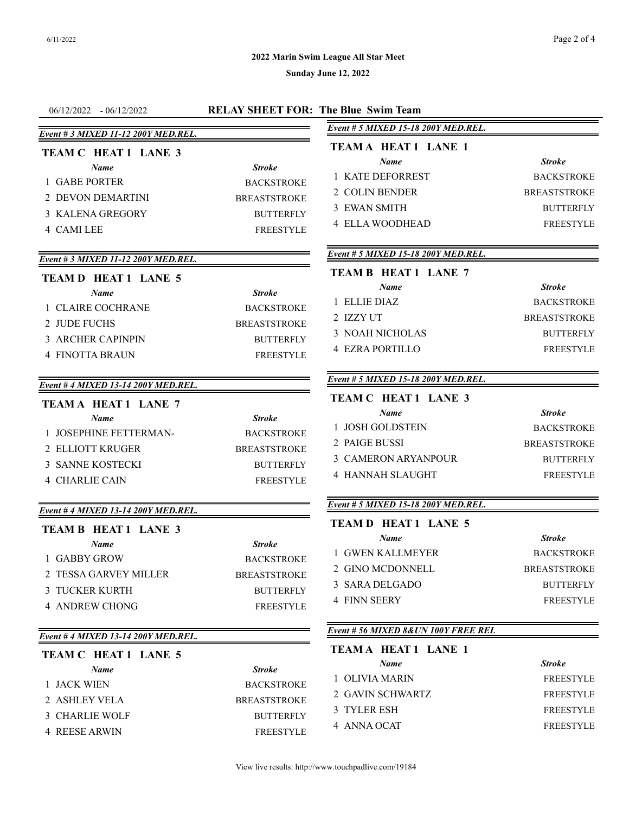| $06/12/2022 - 06/12/2022$                                                                                                                                                                                                                                                  | <b>RELAY SHEET FOR: The Blue Swim Team</b>                                                                                              |                                                                                                                                                                                                                                 |                                                                                                                                         |
|----------------------------------------------------------------------------------------------------------------------------------------------------------------------------------------------------------------------------------------------------------------------------|-----------------------------------------------------------------------------------------------------------------------------------------|---------------------------------------------------------------------------------------------------------------------------------------------------------------------------------------------------------------------------------|-----------------------------------------------------------------------------------------------------------------------------------------|
|                                                                                                                                                                                                                                                                            |                                                                                                                                         | Event # 5 MIXED 15-18 200Y MED.REL.                                                                                                                                                                                             |                                                                                                                                         |
| Event # 3 MIXED 11-12 200Y MED.REL.<br><b>TEAM C HEAT 1 LANE 3</b><br><b>Name</b><br>1 GABE PORTER<br>2 DEVON DEMARTINI<br>3 KALENA GREGORY<br><b>4 CAMI LEE</b><br>Event # 3 MIXED 11-12 200Y MED.REL.<br><b>TEAM D HEAT 1 LANE 5</b><br><b>Name</b><br>1 CLAIRE COCHRANE | <b>Stroke</b><br><b>BACKSTROKE</b><br><b>BREASTSTROKE</b><br><b>BUTTERFLY</b><br><b>FREESTYLE</b><br><b>Stroke</b><br><b>BACKSTROKE</b> | <b>TEAM A HEAT 1 LANE 1</b><br><b>Name</b><br>1 KATE DEFORREST<br>2 COLIN BENDER<br>3 EWAN SMITH<br><b>4 ELLA WOODHEAD</b><br>Event # 5 MIXED 15-18 200Y MED.REL.<br><b>TEAM B HEAT 1 LANE 7</b><br><b>Name</b><br>1 ELLIE DIAZ | <b>Stroke</b><br><b>BACKSTROKE</b><br><b>BREASTSTROKE</b><br><b>BUTTERFLY</b><br><b>FREESTYLE</b><br><b>Stroke</b><br><b>BACKSTROKE</b> |
| 2 JUDE FUCHS<br>3 ARCHER CAPINPIN<br><b>4 FINOTTA BRAUN</b>                                                                                                                                                                                                                | <b>BREASTSTROKE</b><br><b>BUTTERFLY</b><br><b>FREESTYLE</b>                                                                             | 2 IZZY UT<br>3 NOAH NICHOLAS<br><b>4 EZRA PORTILLO</b>                                                                                                                                                                          | <b>BREASTSTROKE</b><br><b>BUTTERFLY</b><br><b>FREESTYLE</b>                                                                             |
| Event # 4 MIXED 13-14 200Y MED.REL.                                                                                                                                                                                                                                        |                                                                                                                                         | Event # 5 MIXED 15-18 200Y MED.REL.                                                                                                                                                                                             |                                                                                                                                         |
| <b>TEAMA HEAT 1 LANE 7</b><br>Name<br>1 JOSEPHINE FETTERMAN-<br>2 ELLIOTT KRUGER<br><b>3 SANNE KOSTECKI</b><br><b>4 CHARLIE CAIN</b>                                                                                                                                       | <b>Stroke</b><br><b>BACKSTROKE</b><br><b>BREASTSTROKE</b><br><b>BUTTERFLY</b><br><b>FREESTYLE</b>                                       | TEAM C HEAT 1 LANE 3<br><b>Name</b><br>1 JOSH GOLDSTEIN<br>2 PAIGE BUSSI<br>3 CAMERON ARYANPOUR<br><b>4 HANNAH SLAUGHT</b>                                                                                                      | <b>Stroke</b><br><b>BACKSTROKE</b><br><b>BREASTSTROKE</b><br><b>BUTTERFLY</b><br><b>FREESTYLE</b>                                       |
| Event # 4 MIXED 13-14 200Y MED.REL.                                                                                                                                                                                                                                        |                                                                                                                                         | Event # 5 MIXED 15-18 200Y MED.REL.                                                                                                                                                                                             |                                                                                                                                         |
| <b>TEAM B HEAT 1 LANE 3</b><br><b>Name</b><br>1 GABBY GROW<br>2 TESSA GARVEY MILLER<br>3 TUCKER KURTH<br><b>4 ANDREW CHONG</b>                                                                                                                                             | <b>Stroke</b><br><b>BACKSTROKE</b><br><b>BREASTSTROKE</b><br><b>BUTTERFLY</b><br><b>FREESTYLE</b>                                       | <b>TEAM D HEAT 1 LANE 5</b><br><b>Name</b><br>1 GWEN KALLMEYER<br>2 GINO MCDONNELL<br>3 SARA DELGADO<br>4 FINN SEERY                                                                                                            | <b>Stroke</b><br><b>BACKSTROKE</b><br><b>BREASTSTROKE</b><br><b>BUTTERFLY</b><br>FREESTYLE                                              |
| Event # 4 MIXED 13-14 200Y MED.REL.                                                                                                                                                                                                                                        |                                                                                                                                         | Event # 56 MIXED 8& UN 100Y FREE REL                                                                                                                                                                                            |                                                                                                                                         |
| <b>TEAM C HEAT 1 LANE 5</b><br><b>Name</b><br>1 JACK WIEN<br>2 ASHLEY VELA<br>3 CHARLIE WOLF<br><b>4 REESE ARWIN</b>                                                                                                                                                       | <b>Stroke</b><br><b>BACKSTROKE</b><br><b>BREASTSTROKE</b><br><b>BUTTERFLY</b><br><b>FREESTYLE</b>                                       | <b>TEAMA HEAT1 LANE 1</b><br>Name<br>1 OLIVIA MARIN<br>2 GAVIN SCHWARTZ<br>3 TYLER ESH<br>4 ANNA OCAT                                                                                                                           | <b>Stroke</b><br><b>FREESTYLE</b><br><b>FREESTYLE</b><br><b>FREESTYLE</b><br><b>FREESTYLE</b>                                           |
|                                                                                                                                                                                                                                                                            |                                                                                                                                         | View live results: http://www.touchpadlive.com/19184                                                                                                                                                                            |                                                                                                                                         |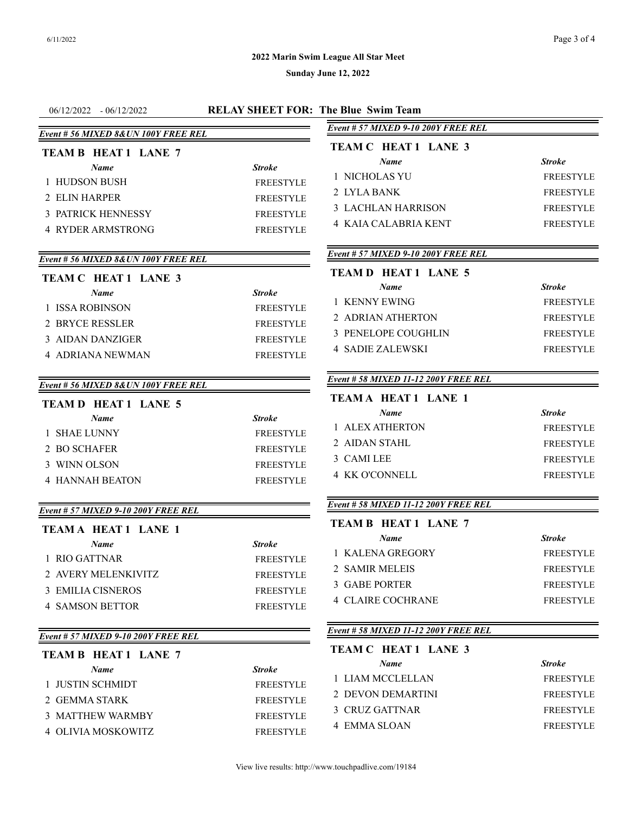| 06/12/2022 - 06/12/2022              |                  | <b>RELAY SHEET FOR: The Blue Swim Team</b> |                  |
|--------------------------------------|------------------|--------------------------------------------|------------------|
| Event # 56 MIXED 8& UN 100Y FREE REL |                  | Event # 57 MIXED 9-10 200Y FREE REL        |                  |
| <b>TEAM B HEAT 1 LANE 7</b>          |                  | TEAM C HEAT 1 LANE 3                       |                  |
| <b>Name</b>                          | <b>Stroke</b>    | Name                                       | <b>Stroke</b>    |
| 1 HUDSON BUSH                        | <b>FREESTYLE</b> | 1 NICHOLAS YU                              | <b>FREESTYLE</b> |
| 2 ELIN HARPER                        | <b>FREESTYLE</b> | 2 LYLA BANK                                | <b>FREESTYLE</b> |
| 3 PATRICK HENNESSY                   | <b>FREESTYLE</b> | 3 LACHLAN HARRISON                         | <b>FREESTYLE</b> |
| <b>4 RYDER ARMSTRONG</b>             | <b>FREESTYLE</b> | 4 KAIA CALABRIA KENT                       | <b>FREESTYLE</b> |
|                                      |                  | Event # 57 MIXED 9-10 200Y FREE REL        |                  |
| Event # 56 MIXED 8& UN 100Y FREE REL |                  |                                            |                  |
| <b>TEAM C HEAT 1 LANE 3</b>          |                  | <b>TEAM D HEAT 1 LANE 5</b>                |                  |
| <b>Name</b>                          | <b>Stroke</b>    | <b>Name</b>                                | <b>Stroke</b>    |
| 1 ISSA ROBINSON                      | <b>FREESTYLE</b> | 1 KENNY EWING                              | <b>FREESTYLE</b> |
| 2 BRYCE RESSLER                      | <b>FREESTYLE</b> | 2 ADRIAN ATHERTON                          | <b>FREESTYLE</b> |
| 3 AIDAN DANZIGER                     | <b>FREESTYLE</b> | 3 PENELOPE COUGHLIN                        | <b>FREESTYLE</b> |
| <b>4 ADRIANA NEWMAN</b>              | <b>FREESTYLE</b> | <b>4 SADIE ZALEWSKI</b>                    | <b>FREESTYLE</b> |
| Event # 56 MIXED 8& UN 100Y FREE REL |                  | Event # 58 MIXED 11-12 200Y FREE REL       |                  |
| <b>TEAM D HEAT 1 LANE 5</b>          |                  | TEAM A HEAT 1 LANE 1                       |                  |
| <b>Name</b>                          | <b>Stroke</b>    | Name                                       | <b>Stroke</b>    |
| 1 SHAE LUNNY                         | <b>FREESTYLE</b> | 1 ALEX ATHERTON                            | <b>FREESTYLE</b> |
| 2 BO SCHAFER                         | <b>FREESTYLE</b> | 2 AIDAN STAHL                              | <b>FREESTYLE</b> |
| 3 WINN OLSON                         | <b>FREESTYLE</b> | 3 CAMI LEE                                 | <b>FREESTYLE</b> |
| <b>4 HANNAH BEATON</b>               | <b>FREESTYLE</b> | 4 KK O'CONNELL                             | <b>FREESTYLE</b> |
|                                      |                  |                                            |                  |
| Event # 57 MIXED 9-10 200Y FREE REL  |                  | Event # 58 MIXED 11-12 200Y FREE REL       |                  |
| <b>TEAMA HEAT 1 LANE 1</b>           |                  | <b>TEAM B HEAT 1 LANE 7</b>                |                  |
| <b>Name</b>                          | <b>Stroke</b>    | <b>Name</b>                                | <b>Stroke</b>    |
| 1 RIO GATTNAR                        | <b>FREESTYLE</b> | 1 KALENA GREGORY                           | <b>FREESTYLE</b> |
| 2 AVERY MELENKIVITZ                  | <b>FREESTYLE</b> | 2 SAMIR MELEIS                             | <b>FREESTYLE</b> |
| 3 EMILIA CISNEROS                    | <b>FREESTYLE</b> | 3 GABE PORTER                              | <b>FREESTYLE</b> |
| <b>4 SAMSON BETTOR</b>               | <b>FREESTYLE</b> | <b>4 CLAIRE COCHRANE</b>                   | <b>FREESTYLE</b> |
| Event # 57 MIXED 9-10 200Y FREE REL  |                  | Event # 58 MIXED 11-12 200Y FREE REL       |                  |
|                                      |                  | TEAM C HEAT 1 LANE 3                       |                  |
| <b>TEAM B HEAT 1 LANE 7</b><br>Name  | <b>Stroke</b>    | Name                                       | <b>Stroke</b>    |
| 1 JUSTIN SCHMIDT                     |                  | 1 LIAM MCCLELLAN                           | <b>FREESTYLE</b> |
|                                      | <b>FREESTYLE</b> | 2 DEVON DEMARTINI                          | <b>FREESTYLE</b> |
| 2 GEMMA STARK                        | <b>FREESTYLE</b> | 3 CRUZ GATTNAR                             | <b>FREESTYLE</b> |
| 3 MATTHEW WARMBY                     | <b>FREESTYLE</b> | 4 EMMA SLOAN                               | FREESTYLE        |
| 4 OLIVIA MOSKOWITZ                   | <b>FREESTYLE</b> |                                            |                  |
|                                      |                  |                                            |                  |